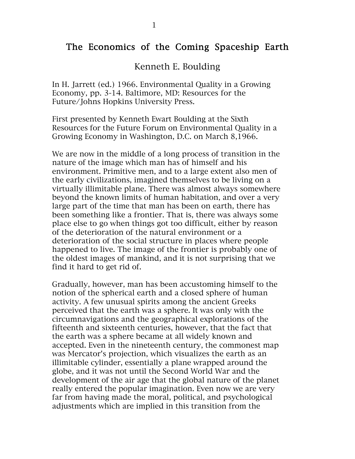Kenneth E. Boulding

In H. Jarrett (ed.) 1966. Environmental Quality in a Growing Economy, pp. 3-14. Baltimore, MD: Resources for the Future/Johns Hopkins University Press.

First presented by Kenneth Ewart Boulding at the Sixth Resources for the Future Forum on Environmental Quality in a Growing Economy in Washington, D.C. on March 8,1966.

We are now in the middle of a long process of transition in the nature of the image which man has of himself and his environment. Primitive men, and to a large extent also men of the early civilizations, imagined themselves to be living on a virtually illimitable plane. There was almost always somewhere beyond the known limits of human habitation, and over a very large part of the time that man has been on earth, there has been something like a frontier. That is, there was always some place else to go when things got too difficult, either by reason of the deterioration of the natural environment or a deterioration of the social structure in places where people happened to live. The image of the frontier is probably one of the oldest images of mankind, and it is not surprising that we find it hard to get rid of.

Gradually, however, man has been accustoming himself to the notion of the spherical earth and a closed sphere of human activity. A few unusual spirits among the ancient Greeks perceived that the earth was a sphere. It was only with the circumnavigations and the geographical explorations of the fifteenth and sixteenth centuries, however, that the fact that the earth was a sphere became at all widely known and accepted. Even in the nineteenth century, the commonest map was Mercator's projection, which visualizes the earth as an illimitable cylinder, essentially a plane wrapped around the globe, and it was not until the Second World War and the development of the air age that the global nature of the planet really entered the popular imagination. Even now we are very far from having made the moral, political, and psychological adjustments which are implied in this transition from the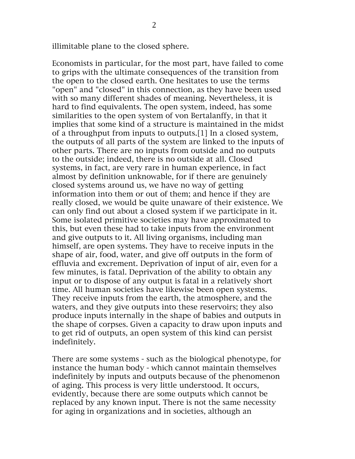illimitable plane to the closed sphere.

Economists in particular, for the most part, have failed to come to grips with the ultimate consequences of the transition from the open to the closed earth. One hesitates to use the terms "open" and "closed" in this connection, as they have been used with so many different shades of meaning. Nevertheless, it is hard to find equivalents. The open system, indeed, has some similarities to the open system of von Bertalanffy, in that it implies that some kind of a structure is maintained in the midst of a throughput from inputs to outputs.[1] In a closed system, the outputs of all parts of the system are linked to the inputs of other parts. There are no inputs from outside and no outputs to the outside; indeed, there is no outside at all. Closed systems, in fact, are very rare in human experience, in fact almost by definition unknowable, for if there are genuinely closed systems around us, we have no way of getting information into them or out of them; and hence if they are really closed, we would be quite unaware of their existence. We can only find out about a closed system if we participate in it. Some isolated primitive societies may have approximated to this, but even these had to take inputs from the environment and give outputs to it. All living organisms, including man himself, are open systems. They have to receive inputs in the shape of air, food, water, and give off outputs in the form of effluvia and excrement. Deprivation of input of air, even for a few minutes, is fatal. Deprivation of the ability to obtain any input or to dispose of any output is fatal in a relatively short time. All human societies have likewise been open systems. They receive inputs from the earth, the atmosphere, and the waters, and they give outputs into these reservoirs; they also produce inputs internally in the shape of babies and outputs in the shape of corpses. Given a capacity to draw upon inputs and to get rid of outputs, an open system of this kind can persist indefinitely.

There are some systems - such as the biological phenotype, for instance the human body - which cannot maintain themselves indefinitely by inputs and outputs because of the phenomenon of aging. This process is very little understood. It occurs, evidently, because there are some outputs which cannot be replaced by any known input. There is not the same necessity for aging in organizations and in societies, although an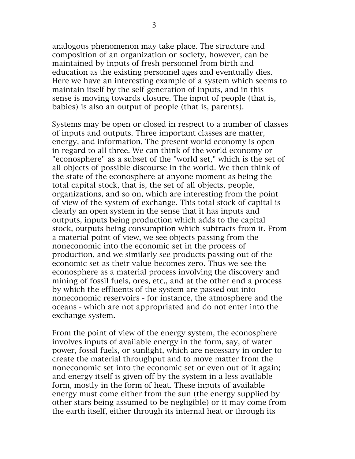analogous phenomenon may take place. The structure and composition of an organization or society, however, can be maintained by inputs of fresh personnel from birth and education as the existing personnel ages and eventually dies. Here we have an interesting example of a system which seems to maintain itself by the self-generation of inputs, and in this sense is moving towards closure. The input of people (that is, babies) is also an output of people (that is, parents).

Systems may be open or closed in respect to a number of classes of inputs and outputs. Three important classes are matter, energy, and information. The present world economy is open in regard to all three. We can think of the world economy or "econosphere" as a subset of the "world set," which is the set of all objects of possible discourse in the world. We then think of the state of the econosphere at anyone moment as being the total capital stock, that is, the set of all objects, people, organizations, and so on, which are interesting from the point of view of the system of exchange. This total stock of capital is clearly an open system in the sense that it has inputs and outputs, inputs being production which adds to the capital stock, outputs being consumption which subtracts from it. From a material point of view, we see objects passing from the noneconomic into the economic set in the process of production, and we similarly see products passing out of the economic set as their value becomes zero. Thus we see the econosphere as a material process involving the discovery and mining of fossil fuels, ores, etc., and at the other end a process by which the effluents of the system are passed out into noneconomic reservoirs - for instance, the atmosphere and the oceans - which are not appropriated and do not enter into the exchange system.

From the point of view of the energy system, the econosphere involves inputs of available energy in the form, say, of water power, fossil fuels, or sunlight, which are necessary in order to create the material throughput and to move matter from the noneconomic set into the economic set or even out of it again; and energy itself is given off by the system in a less available form, mostly in the form of heat. These inputs of available energy must come either from the sun (the energy supplied by other stars being assumed to be negligible) or it may come from the earth itself, either through its internal heat or through its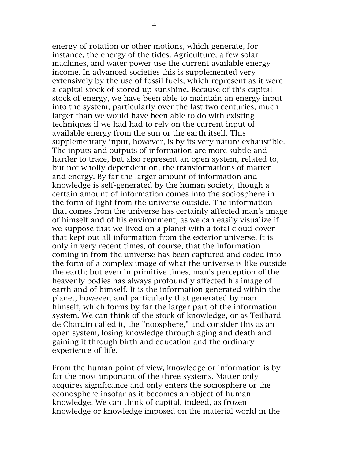energy of rotation or other motions, which generate, for instance, the energy of the tides. Agriculture, a few solar machines, and water power use the current available energy income. In advanced societies this is supplemented very extensively by the use of fossil fuels, which represent as it were a capital stock of stored-up sunshine. Because of this capital stock of energy, we have been able to maintain an energy input into the system, particularly over the last two centuries, much larger than we would have been able to do with existing techniques if we had had to rely on the current input of available energy from the sun or the earth itself. This supplementary input, however, is by its very nature exhaustible. The inputs and outputs of information are more subtle and harder to trace, but also represent an open system, related to, but not wholly dependent on, the transformations of matter and energy. By far the larger amount of information and knowledge is self-generated by the human society, though a certain amount of information comes into the sociosphere in the form of light from the universe outside. The information that comes from the universe has certainly affected man's image of himself and of his environment, as we can easily visualize if we suppose that we lived on a planet with a total cloud-cover that kept out all information from the exterior universe. It is only in very recent times, of course, that the information coming in from the universe has been captured and coded into the form of a complex image of what the universe is like outside the earth; but even in primitive times, man's perception of the heavenly bodies has always profoundly affected his image of earth and of himself. It is the information generated within the planet, however, and particularly that generated by man himself, which forms by far the larger part of the information system. We can think of the stock of knowledge, or as Teilhard de Chardin called it, the "noosphere," and consider this as an open system, losing knowledge through aging and death and gaining it through birth and education and the ordinary experience of life.

From the human point of view, knowledge or information is by far the most important of the three systems. Matter only acquires significance and only enters the sociosphere or the econosphere insofar as it becomes an object of human knowledge. We can think of capital, indeed, as frozen knowledge or knowledge imposed on the material world in the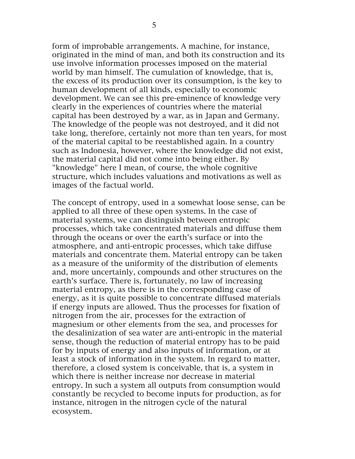form of improbable arrangements. A machine, for instance, originated in the mind of man, and both its construction and its use involve information processes imposed on the material world by man himself. The cumulation of knowledge, that is, the excess of its production over its consumption, is the key to human development of all kinds, especially to economic development. We can see this pre-eminence of knowledge very clearly in the experiences of countries where the material capital has been destroyed by a war, as in Japan and Germany. The knowledge of the people was not destroyed, and it did not take long, therefore, certainly not more than ten years, for most of the material capital to be reestablished again. In a country such as Indonesia, however, where the knowledge did not exist, the material capital did not come into being either. By "knowledge" here I mean, of course, the whole cognitive structure, which includes valuations and motivations as well as images of the factual world.

The concept of entropy, used in a somewhat loose sense, can be applied to all three of these open systems. In the case of material systems, we can distinguish between entropic processes, which take concentrated materials and diffuse them through the oceans or over the earth's surface or into the atmosphere, and anti-entropic processes, which take diffuse materials and concentrate them. Material entropy can be taken as a measure of the uniformity of the distribution of elements and, more uncertainly, compounds and other structures on the earth's surface. There is, fortunately, no law of increasing material entropy, as there is in the corresponding case of energy, as it is quite possible to concentrate diffused materials if energy inputs are allowed. Thus the processes for fixation of nitrogen from the air, processes for the extraction of magnesium or other elements from the sea, and processes for the desalinization of sea water are anti-entropic in the material sense, though the reduction of material entropy has to be paid for by inputs of energy and also inputs of information, or at least a stock of information in the system. In regard to matter, therefore, a closed system is conceivable, that is, a system in which there is neither increase nor decrease in material entropy. In such a system all outputs from consumption would constantly be recycled to become inputs for production, as for instance, nitrogen in the nitrogen cycle of the natural ecosystem.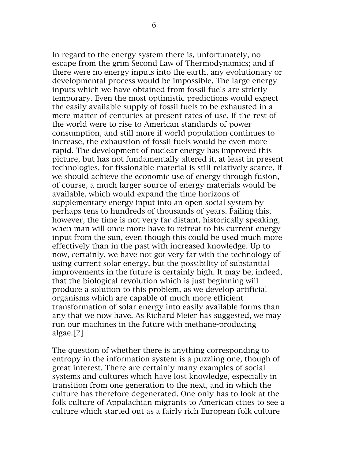In regard to the energy system there is, unfortunately, no escape from the grim Second Law of Thermodynamics; and if there were no energy inputs into the earth, any evolutionary or developmental process would be impossible. The large energy inputs which we have obtained from fossil fuels are strictly temporary. Even the most optimistic predictions would expect the easily available supply of fossil fuels to be exhausted in a mere matter of centuries at present rates of use. If the rest of the world were to rise to American standards of power consumption, and still more if world population continues to increase, the exhaustion of fossil fuels would be even more rapid. The development of nuclear energy has improved this picture, but has not fundamentally altered it, at least in present technologies, for fissionable material is still relatively scarce. If we should achieve the economic use of energy through fusion, of course, a much larger source of energy materials would be available, which would expand the time horizons of supplementary energy input into an open social system by perhaps tens to hundreds of thousands of years. Failing this, however, the time is not very far distant, historically speaking, when man will once more have to retreat to his current energy input from the sun, even though this could be used much more effectively than in the past with increased knowledge. Up to now, certainly, we have not got very far with the technology of using current solar energy, but the possibility of substantial improvements in the future is certainly high. It may be, indeed, that the biological revolution which is just beginning will produce a solution to this problem, as we develop artificial organisms which are capable of much more efficient transformation of solar energy into easily available forms than any that we now have. As Richard Meier has suggested, we may run our machines in the future with methane-producing algae.[2]

The question of whether there is anything corresponding to entropy in the information system is a puzzling one, though of great interest. There are certainly many examples of social systems and cultures which have lost knowledge, especially in transition from one generation to the next, and in which the culture has therefore degenerated. One only has to look at the folk culture of Appalachian migrants to American cities to see a culture which started out as a fairly rich European folk culture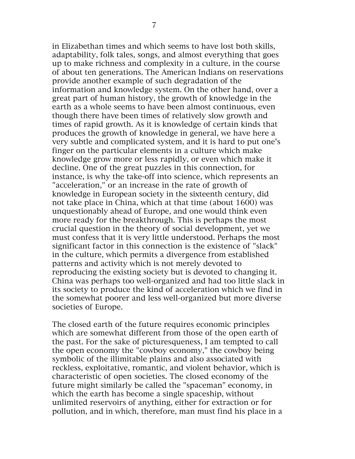in Elizabethan times and which seems to have lost both skills, adaptability, folk tales, songs, and almost everything that goes up to make richness and complexity in a culture, in the course of about ten generations. The American Indians on reservations provide another example of such degradation of the information and knowledge system. On the other hand, over a great part of human history, the growth of knowledge in the earth as a whole seems to have been almost continuous, even though there have been times of relatively slow growth and times of rapid growth. As it is knowledge of certain kinds that produces the growth of knowledge in general, we have here a very subtle and complicated system, and it is hard to put one's finger on the particular elements in a culture which make knowledge grow more or less rapidly, or even which make it decline. One of the great puzzles in this connection, for instance, is why the take-off into science, which represents an "acceleration," or an increase in the rate of growth of knowledge in European society in the sixteenth century, did not take place in China, which at that time (about 1600) was unquestionably ahead of Europe, and one would think even more ready for the breakthrough. This is perhaps the most crucial question in the theory of social development, yet we must confess that it is very little understood. Perhaps the most significant factor in this connection is the existence of "slack" in the culture, which permits a divergence from established patterns and activity which is not merely devoted to reproducing the existing society but is devoted to changing it. China was perhaps too well-organized and had too little slack in its society to produce the kind of acceleration which we find in the somewhat poorer and less well-organized but more diverse societies of Europe.

The closed earth of the future requires economic principles which are somewhat different from those of the open earth of the past. For the sake of picturesqueness, I am tempted to call the open economy the "cowboy economy," the cowboy being symbolic of the illimitable plains and also associated with reckless, exploitative, romantic, and violent behavior, which is characteristic of open societies. The closed economy of the future might similarly be called the "spaceman" economy, in which the earth has become a single spaceship, without unlimited reservoirs of anything, either for extraction or for pollution, and in which, therefore, man must find his place in a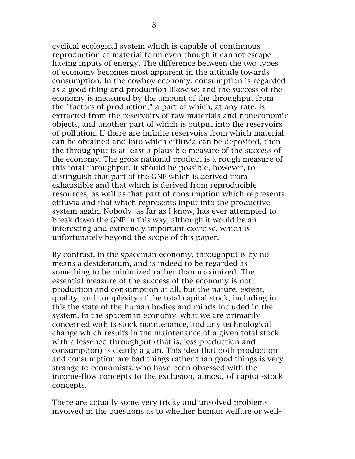cyclical ecological system which is capable of continuous reproduction of material form even though it cannot escape having inputs of energy. The difference between the two types of economy becomes most apparent in the attitude towards consumption. In the cowboy economy, consumption is regarded as a good thing and production likewise; and the success of the economy is measured by the amount of the throughput from the "factors of production," a part of which, at any rate, is extracted from the reservoirs of raw materials and noneconomic objects, and another part of which is output into the reservoirs of pollution. If there are infinite reservoirs from which material can be obtained and into which effluvia can be deposited, then the throughput is at least a plausible measure of the success of the economy. The gross national product is a rough measure of this total throughput. It should be possible, however, to distinguish that part of the GNP which is derived from exhaustible and that which is derived from reproducible resources, as well as that part of consumption which represents effluvia and that which represents input into the productive system again. Nobody, as far as I know, has ever attempted to break down the GNP in this way, although it would be an interesting and extremely important exercise, which is unfortunately beyond the scope of this paper.

By contrast, in the spaceman economy, throughput is by no means a desideratum, and is indeed to be regarded as something to be minimized rather than maximized. The essential measure of the success of the economy is not production and consumption at all, but the nature, extent, quality, and complexity of the total capital stock, including in this the state of the human bodies and minds included in the system. In the spaceman economy, what we are primarily concerned with is stock maintenance, and any technological change which results in the maintenance of a given total stock with a lessened throughput (that is, less production and consumption) is clearly a gain. This idea that both production and consumption are bad things rather than good things is very strange to economists, who have been obsessed with the income-flow concepts to the exclusion, almost, of capital-stock concepts.

There are actually some very tricky and unsolved problems involved in the questions as to whether human welfare or well-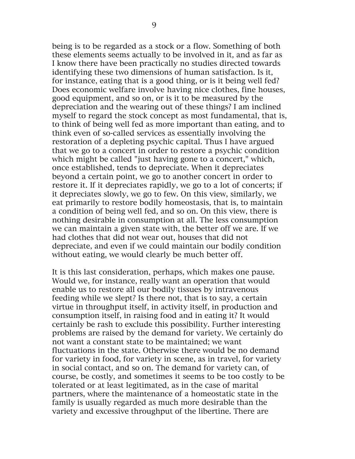being is to be regarded as a stock or a flow. Something of both these elements seems actually to be involved in it, and as far as I know there have been practically no studies directed towards identifying these two dimensions of human satisfaction. Is it, for instance, eating that is a good thing, or is it being well fed? Does economic welfare involve having nice clothes, fine houses, good equipment, and so on, or is it to be measured by the depreciation and the wearing out of these things? I am inclined myself to regard the stock concept as most fundamental, that is, to think of being well fed as more important than eating, and to think even of so-called services as essentially involving the restoration of a depleting psychic capital. Thus I have argued that we go to a concert in order to restore a psychic condition which might be called "just having gone to a concert," which, once established, tends to depreciate. When it depreciates beyond a certain point, we go to another concert in order to restore it. If it depreciates rapidly, we go to a lot of concerts; if it depreciates slowly, we go to few. On this view, similarly, we eat primarily to restore bodily homeostasis, that is, to maintain a condition of being well fed, and so on. On this view, there is nothing desirable in consumption at all. The less consumption we can maintain a given state with, the better off we are. If we had clothes that did not wear out, houses that did not depreciate, and even if we could maintain our bodily condition without eating, we would clearly be much better off.

It is this last consideration, perhaps, which makes one pause. Would we, for instance, really want an operation that would enable us to restore all our bodily tissues by intravenous feeding while we slept? Is there not, that is to say, a certain virtue in throughput itself, in activity itself, in production and consumption itself, in raising food and in eating it? It would certainly be rash to exclude this possibility. Further interesting problems are raised by the demand for variety. We certainly do not want a constant state to be maintained; we want fluctuations in the state. Otherwise there would be no demand for variety in food, for variety in scene, as in travel, for variety in social contact, and so on. The demand for variety can, of course, be costly, and sometimes it seems to be too costly to be tolerated or at least legitimated, as in the case of marital partners, where the maintenance of a homeostatic state in the family is usually regarded as much more desirable than the variety and excessive throughput of the libertine. There are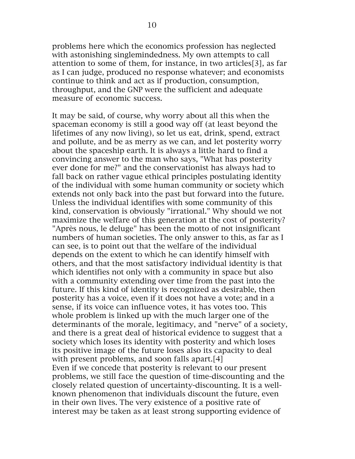problems here which the economics profession has neglected with astonishing singlemindedness. My own attempts to call attention to some of them, for instance, in two articles[3], as far as I can judge, produced no response whatever; and economists continue to think and act as if production, consumption, throughput, and the GNP were the sufficient and adequate measure of economic success.

It may be said, of course, why worry about all this when the spaceman economy is still a good way off (at least beyond the lifetimes of any now living), so let us eat, drink, spend, extract and pollute, and be as merry as we can, and let posterity worry about the spaceship earth. It is always a little hard to find a convincing answer to the man who says, "What has posterity ever done for me?" and the conservationist has always had to fall back on rather vague ethical principles postulating identity of the individual with some human community or society which extends not only back into the past but forward into the future. Unless the individual identifies with some community of this kind, conservation is obviously "irrational." Why should we not maximize the welfare of this generation at the cost of posterity? "Après nous, le deluge" has been the motto of not insignificant numbers of human societies. The only answer to this, as far as I can see, is to point out that the welfare of the individual depends on the extent to which he can identify himself with others, and that the most satisfactory individual identity is that which identifies not only with a community in space but also with a community extending over time from the past into the future. If this kind of identity is recognized as desirable, then posterity has a voice, even if it does not have a vote; and in a sense, if its voice can influence votes, it has votes too. This whole problem is linked up with the much larger one of the determinants of the morale, legitimacy, and "nerve" of a society, and there is a great deal of historical evidence to suggest that a society which loses its identity with posterity and which loses its positive image of the future loses also its capacity to deal with present problems, and soon falls apart.[4] Even if we concede that posterity is relevant to our present problems, we still face the question of time-discounting and the closely related question of uncertainty-discounting. It is a wellknown phenomenon that individuals discount the future, even in their own lives. The very existence of a positive rate of interest may be taken as at least strong supporting evidence of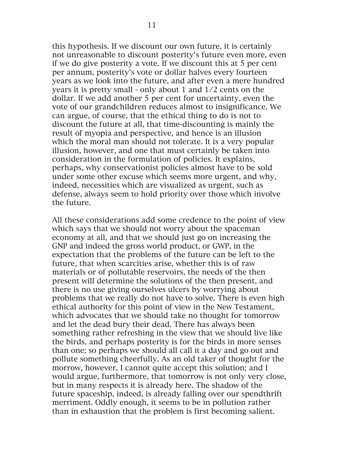this hypothesis. If we discount our own future, it is certainly not unreasonable to discount posterity's future even more, even if we do give posterity a vote. If we discount this at 5 per cent per annum, posterity's vote or dollar halves every fourteen years as we look into the future, and after even a mere hundred years it is pretty small - only about 1 and 1/2 cents on the dollar. If we add another 5 per cent for uncertainty, even the vote of our grandchildren reduces almost to insignificance. We can argue, of course, that the ethical thing to do is not to discount the future at all, that time-discounting is mainly the result of myopia and perspective, and hence is an illusion which the moral man should not tolerate. It is a very popular illusion, however, and one that must certainly be taken into consideration in the formulation of policies. It explains, perhaps, why conservationist policies almost have to be sold under some other excuse which seems more urgent, and why, indeed, necessities which are visualized as urgent, such as defense, always seem to hold priority over those which involve the future.

All these considerations add some credence to the point of view which says that we should not worry about the spaceman economy at all, and that we should just go on increasing the GNP and indeed the gross world product, or GWP, in the expectation that the problems of the future can be left to the future, that when scarcities arise, whether this is of raw materials or of pollutable reservoirs, the needs of the then present will determine the solutions of the then present, and there is no use giving ourselves ulcers by worrying about problems that we really do not have to solve. There is even high ethical authority for this point of view in the New Testament, which advocates that we should take no thought for tomorrow and let the dead bury their dead. There has always been something rather refreshing in the view that we should live like the birds, and perhaps posterity is for the birds in more senses than one; so perhaps we should all call it a day and go out and pollute something cheerfully. As an old taker of thought for the morrow, however, I cannot quite accept this solution; and I would argue, furthermore, that tomorrow is not only very close, but in many respects it is already here. The shadow of the future spaceship, indeed, is already falling over our spendthrift merriment. Oddly enough, it seems to be in pollution rather than in exhaustion that the problem is first becoming salient.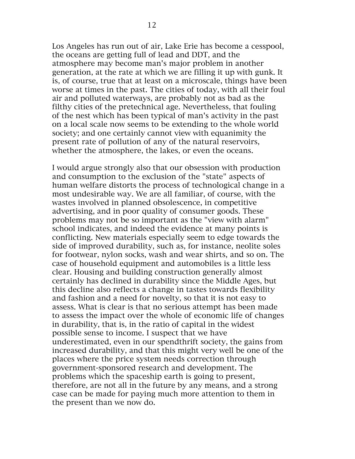Los Angeles has run out of air, Lake Erie has become a cesspool, the oceans are getting full of lead and DDT, and the atmosphere may become man's major problem in another generation, at the rate at which we are filling it up with gunk. It is, of course, true that at least on a microscale, things have been worse at times in the past. The cities of today, with all their foul air and polluted waterways, are probably not as bad as the filthy cities of the pretechnical age. Nevertheless, that fouling of the nest which has been typical of man's activity in the past on a local scale now seems to be extending to the whole world society; and one certainly cannot view with equanimity the present rate of pollution of any of the natural reservoirs, whether the atmosphere, the lakes, or even the oceans.

I would argue strongly also that our obsession with production and consumption to the exclusion of the "state" aspects of human welfare distorts the process of technological change in a most undesirable way. We are all familiar, of course, with the wastes involved in planned obsolescence, in competitive advertising, and in poor quality of consumer goods. These problems may not be so important as the "view with alarm" school indicates, and indeed the evidence at many points is conflicting. New materials especially seem to edge towards the side of improved durability, such as, for instance, neolite soles for footwear, nylon socks, wash and wear shirts, and so on. The case of household equipment and automobiles is a little less clear. Housing and building construction generally almost certainly has declined in durability since the Middle Ages, but this decline also reflects a change in tastes towards flexibility and fashion and a need for novelty, so that it is not easy to assess. What is clear is that no serious attempt has been made to assess the impact over the whole of economic life of changes in durability, that is, in the ratio of capital in the widest possible sense to income. I suspect that we have underestimated, even in our spendthrift society, the gains from increased durability, and that this might very well be one of the places where the price system needs correction through government-sponsored research and development. The problems which the spaceship earth is going to present, therefore, are not all in the future by any means, and a strong case can be made for paying much more attention to them in the present than we now do.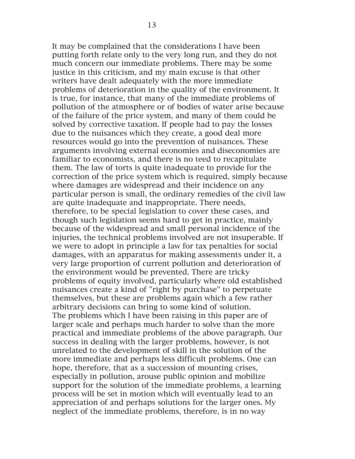It may be complained that the considerations I have been putting forth relate only to the very long run, and they do not much concern our immediate problems. There may be some justice in this criticism, and my main excuse is that other writers have dealt adequately with the more immediate problems of deterioration in the quality of the environment. It is true, for instance, that many of the immediate problems of pollution of the atmosphere or of bodies of water arise because of the failure of the price system, and many of them could be solved by corrective taxation. If people had to pay the losses due to the nuisances which they create, a good deal more resources would go into the prevention of nuisances. These arguments involving external economies and diseconomies are familiar to economists, and there is no teed to recapitulate them. The law of torts is quite inadequate to provide for the correction of the price system which is required, simply because where damages are widespread and their incidence on any particular person is small, the ordinary remedies of the civil law are quite inadequate and inappropriate. There needs, therefore, to be special legislation to cover these cases, and though such legislation seems hard to get in practice, mainly because of the widespread and small personal incidence of the injuries, the technical problems involved are not insuperable. If we were to adopt in principle a law for tax penalties for social damages, with an apparatus for making assessments under it, a very large proportion of current pollution and deterioration of the environment would be prevented. There are tricky problems of equity involved, particularly where old established nuisances create a kind of "right by purchase" to perpetuate themselves, but these are problems again which a few rather arbitrary decisions can bring to some kind of solution. The problems which I have been raising in this paper are of larger scale and perhaps much harder to solve than the more practical and immediate problems of the above paragraph. Our success in dealing with the larger problems, however, is not unrelated to the development of skill in the solution of the more immediate and perhaps less difficult problems. One can hope, therefore, that as a succession of mounting crises, especially in pollution, arouse public opinion and mobilize support for the solution of the immediate problems, a learning process will be set in motion which will eventually lead to an appreciation of and perhaps solutions for the larger ones. My neglect of the immediate problems, therefore, is in no way